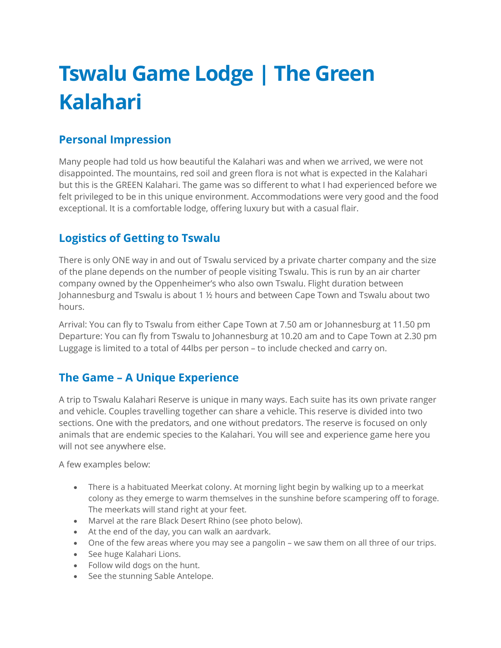# **Tswalu Game Lodge | The Green Kalahari**

# **Personal Impression**

Many people had told us how beautiful the Kalahari was and when we arrived, we were not disappointed. The mountains, red soil and green flora is not what is expected in the Kalahari but this is the GREEN Kalahari. The game was so different to what I had experienced before we felt privileged to be in this unique environment. Accommodations were very good and the food exceptional. It is a comfortable lodge, offering luxury but with a casual flair.

# **Logistics of Getting to Tswalu**

There is only ONE way in and out of Tswalu serviced by a private charter company and the size of the plane depends on the number of people visiting Tswalu. This is run by an air charter company owned by the Oppenheimer's who also own Tswalu. Flight duration between Johannesburg and Tswalu is about 1 ½ hours and between Cape Town and Tswalu about two hours.

Arrival: You can fly to Tswalu from either Cape Town at 7.50 am or Johannesburg at 11.50 pm Departure: You can fly from Tswalu to Johannesburg at 10.20 am and to Cape Town at 2.30 pm Luggage is limited to a total of 44lbs per person – to include checked and carry on.

# **The Game – A Unique Experience**

A trip to Tswalu Kalahari Reserve is unique in many ways. Each suite has its own private ranger and vehicle. Couples travelling together can share a vehicle. This reserve is divided into two sections. One with the predators, and one without predators. The reserve is focused on only animals that are endemic species to the Kalahari. You will see and experience game here you will not see anywhere else.

A few examples below:

- There is a habituated Meerkat colony. At morning light begin by walking up to a meerkat colony as they emerge to warm themselves in the sunshine before scampering off to forage. The meerkats will stand right at your feet.
- Marvel at the rare Black Desert Rhino (see photo below).
- At the end of the day, you can walk an aardvark.
- One of the few areas where you may see a pangolin we saw them on all three of our trips.
- See huge Kalahari Lions.
- Follow wild dogs on the hunt.
- See the stunning Sable Antelope.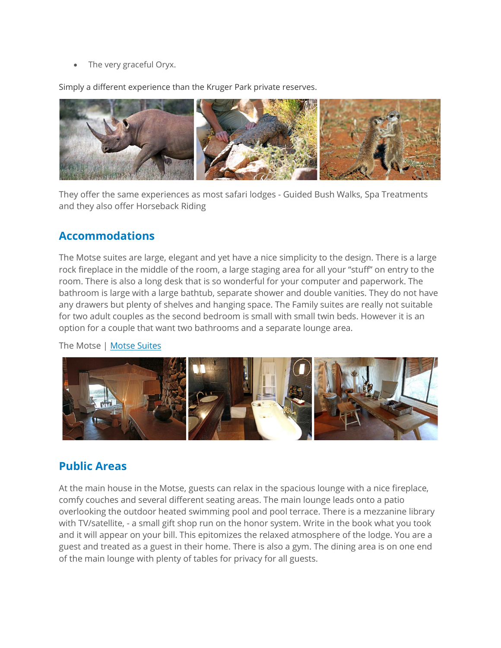• The very graceful Oryx.

Simply a different experience than the Kruger Park private reserves.



They offer the same experiences as most safari lodges - Guided Bush Walks, Spa Treatments and they also offer Horseback Riding

# **Accommodations**

The Motse suites are large, elegant and yet have a nice simplicity to the design. There is a large rock fireplace in the middle of the room, a large staging area for all your "stuff" on entry to the room. There is also a long desk that is so wonderful for your computer and paperwork. The bathroom is large with a large bathtub, separate shower and double vanities. They do not have any drawers but plenty of shelves and hanging space. The Family suites are really not suitable for two adult couples as the second bedroom is small with small twin beds. However it is an option for a couple that want two bathrooms and a separate lounge area.

The Motse | [Motse Suites](http://www.tswalu.com/accommodation/the-motse)



### **Public Areas**

At the main house in the Motse, guests can relax in the spacious lounge with a nice fireplace, comfy couches and several different seating areas. The main lounge leads onto a patio overlooking the outdoor heated swimming pool and pool terrace. There is a mezzanine library with TV/satellite, - a small gift shop run on the honor system. Write in the book what you took and it will appear on your bill. This epitomizes the relaxed atmosphere of the lodge. You are a guest and treated as a guest in their home. There is also a gym. The dining area is on one end of the main lounge with plenty of tables for privacy for all guests.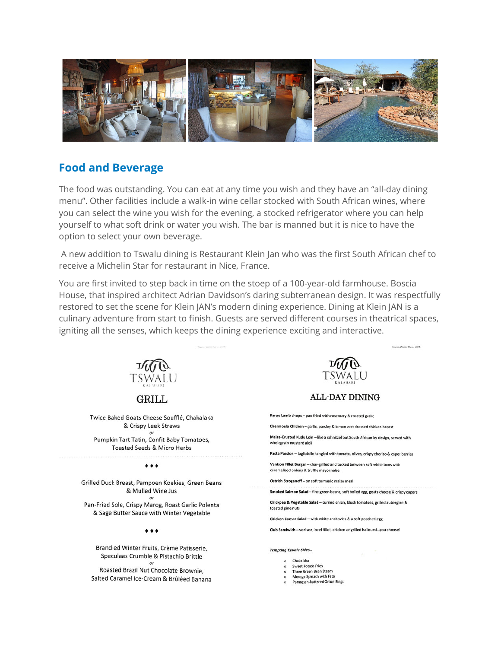

### **Food and Beverage**

The food was outstanding. You can eat at any time you wish and they have an "all-day dining" menu". Other facilities include a walk-in wine cellar stocked with South African wines, where you can select the wine you wish for the evening, a stocked refrigerator where you can help yourself to what soft drink or water you wish. The bar is manned but it is nice to have the option to select your own beverage.

A new addition to Tswalu dining is Restaurant Klein Jan who was the first South African chef to receive a Michelin Star for restaurant in Nice, France.

You are first invited to step back in time on the stoep of a 100-year-old farmhouse. Boscia House, that inspired architect Adrian Davidson's daring subterranean design. It was respectfully restored to set the scene for Klein JAN's modern dining experience. Dining at Klein JAN is a culinary adventure from start to finish. Guests are served different courses in theatrical spaces, igniting all the senses, which keeps the dining experience exciting and interactive.



GRILL

Twice Baked Goats Cheese Soufflé, Chakalaka & Crispy Leek Straws Pumpkin Tart Tatin, Confit Baby Tomatoes, Toasted Seeds & Micro Herbs

#### $......$

Grilled Duck Breast, Pampoen Koekies, Green Beans & Mulled Wine Jus Pan-Fried Sole, Crispy Marog, Roast Garlic Polenta

& Sage Butter Sauce with Winter Vegetable

#### $......$

Brandied Winter Fruits, Crème Patisserie, Speculaas Crumble & Pistachio Brittle

Roasted Brazil Nut Chocolate Brownie, Salted Caramel Ice-Cream & Brûléed Banana



Fough: Winter Muse, 2018

**ALL-DAY DINING** 

Karoo Lamb chops - pan fried with rosemary & roasted garlic

Chermoula Chicken - garlic, parsley & lemon zest dressed chicken breast

Maize-Crusted Kudu Loin - like a schnitzel but South African by design, served with wholegrain mustard aioli

Pasta Passion - tagliatelle tangled with tomato, olives, crispy chorizo & caper berries

Venison Fillet Burger - char-grilled and tucked between soft white buns with caramelised onlons & truffle mayonnaise

Ostrich Stroganoff - on soft turmeric maize meal

Smoked Salmon Salad - fine green beans, soft boiled egg, goats cheese & crispy capers

Chickpea & Vegetable Salad - curried onion, blush tomatoes, grilled aubergine & toasted pine nuts

Chicken Caesar Salad - with white anchovies & a soft poached egg

Club Sandwich - venison, beef fillet, chicken or grilled halloumi...you choose!

#### **Tempting Tswalu Sides...**

- o Chakalaka
- Sweet Potato Fries o Three Green Bean Steam
- Morogo Spinach with Feta
- Parmesan-battered Onion Rings